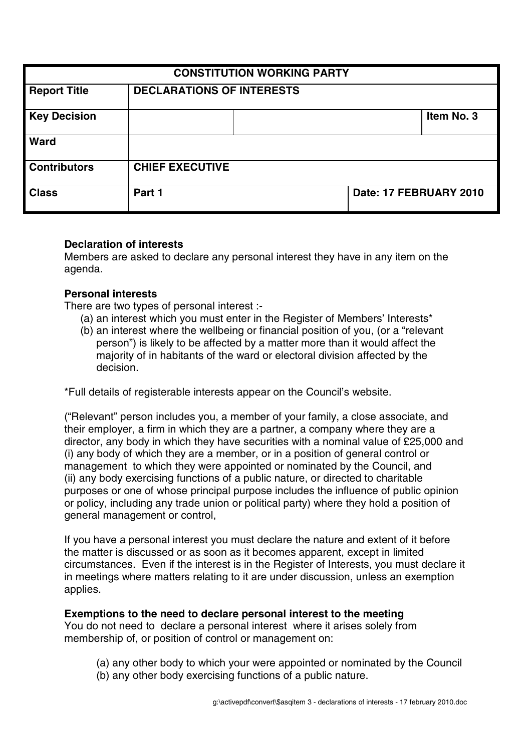| <b>CONSTITUTION WORKING PARTY</b> |                                  |  |                        |            |
|-----------------------------------|----------------------------------|--|------------------------|------------|
| <b>Report Title</b>               | <b>DECLARATIONS OF INTERESTS</b> |  |                        |            |
| <b>Key Decision</b>               |                                  |  |                        | Item No. 3 |
| <b>Ward</b>                       |                                  |  |                        |            |
| <b>Contributors</b>               | <b>CHIEF EXECUTIVE</b>           |  |                        |            |
| <b>Class</b>                      | Part 1                           |  | Date: 17 FEBRUARY 2010 |            |

### **Declaration of interests**

Members are asked to declare any personal interest they have in any item on the agenda.

### **Personal interests**

There are two types of personal interest :-

- (a) an interest which you must enter in the Register of Members' Interests\*
- (b) an interest where the wellbeing or financial position of you, (or a "relevant person") is likely to be affected by a matter more than it would affect the majority of in habitants of the ward or electoral division affected by the decision.

\*Full details of registerable interests appear on the Council's website.

("Relevant" person includes you, a member of your family, a close associate, and their employer, a firm in which they are a partner, a company where they are a director, any body in which they have securities with a nominal value of £25,000 and (i) any body of which they are a member, or in a position of general control or management to which they were appointed or nominated by the Council, and (ii) any body exercising functions of a public nature, or directed to charitable purposes or one of whose principal purpose includes the influence of public opinion or policy, including any trade union or political party) where they hold a position of general management or control,

If you have a personal interest you must declare the nature and extent of it before the matter is discussed or as soon as it becomes apparent, except in limited circumstances. Even if the interest is in the Register of Interests, you must declare it in meetings where matters relating to it are under discussion, unless an exemption applies.

#### **Exemptions to the need to declare personal interest to the meeting**

You do not need to declare a personal interest where it arises solely from membership of, or position of control or management on:

- (a) any other body to which your were appointed or nominated by the Council
- (b) any other body exercising functions of a public nature.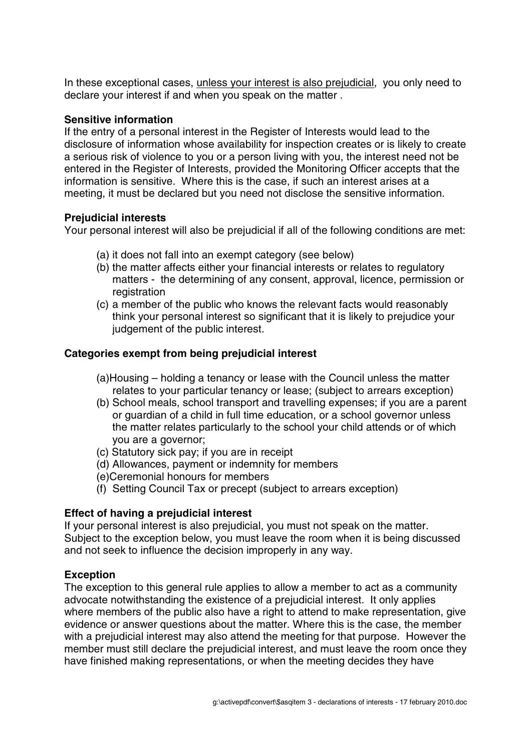In these exceptional cases, unless your interest is also prejudicial, you only need to declare your interest if and when you speak on the matter .

## **Sensitive information**

If the entry of a personal interest in the Register of Interests would lead to the disclosure of information whose availability for inspection creates or is likely to create a serious risk of violence to you or a person living with you, the interest need not be entered in the Register of Interests, provided the Monitoring Officer accepts that the information is sensitive. Where this is the case, if such an interest arises at a meeting, it must be declared but you need not disclose the sensitive information.

# **Prejudicial interests**

Your personal interest will also be prejudicial if all of the following conditions are met:

- (a) it does not fall into an exempt category (see below)
- (b) the matter affects either your financial interests or relates to regulatory matters - the determining of any consent, approval, licence, permission or registration
- (c) a member of the public who knows the relevant facts would reasonably think your personal interest so significant that it is likely to prejudice your judgement of the public interest.

# **Categories exempt from being prejudicial interest**

- (a)Housing holding a tenancy or lease with the Council unless the matter relates to your particular tenancy or lease; (subject to arrears exception)
- (b) School meals, school transport and travelling expenses; if you are a parent or guardian of a child in full time education, or a school governor unless the matter relates particularly to the school your child attends or of which you are a governor;
- (c) Statutory sick pay; if you are in receipt
- (d) Allowances, payment or indemnity for members
- (e)Ceremonial honours for members
- (f) Setting Council Tax or precept (subject to arrears exception)

# **Effect of having a prejudicial interest**

If your personal interest is also prejudicial, you must not speak on the matter. Subject to the exception below, you must leave the room when it is being discussed and not seek to influence the decision improperly in any way.

# **Exception**

The exception to this general rule applies to allow a member to act as a community advocate notwithstanding the existence of a prejudicial interest. It only applies where members of the public also have a right to attend to make representation, give evidence or answer questions about the matter. Where this is the case, the member with a prejudicial interest may also attend the meeting for that purpose. However the member must still declare the prejudicial interest, and must leave the room once they have finished making representations, or when the meeting decides they have